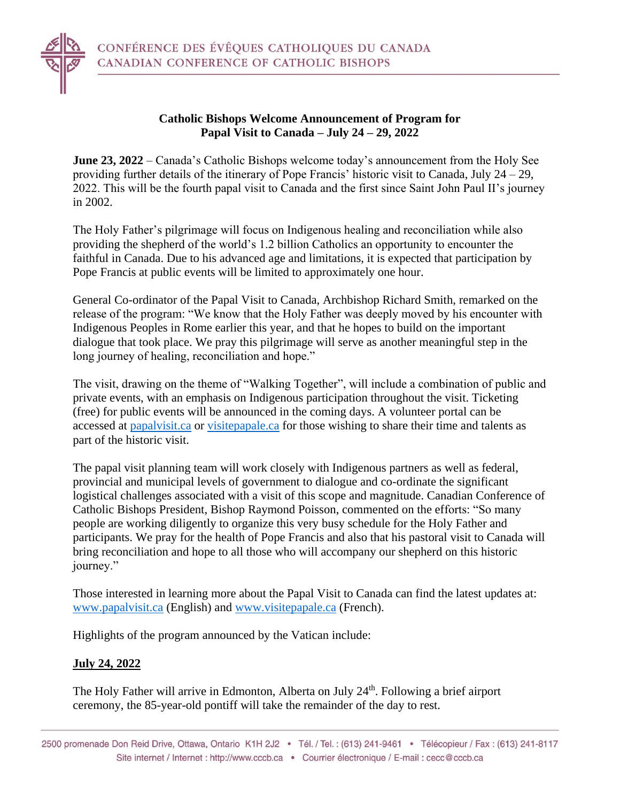

## **Catholic Bishops Welcome Announcement of Program for Papal Visit to Canada – July 24 – 29, 2022**

**June 23, 2022** – Canada's Catholic Bishops welcome today's announcement from the Holy See providing further details of the itinerary of Pope Francis' historic visit to Canada, July 24 – 29, 2022. This will be the fourth papal visit to Canada and the first since Saint John Paul II's journey in 2002.

The Holy Father's pilgrimage will focus on Indigenous healing and reconciliation while also providing the shepherd of the world's 1.2 billion Catholics an opportunity to encounter the faithful in Canada. Due to his advanced age and limitations, it is expected that participation by Pope Francis at public events will be limited to approximately one hour.

General Co-ordinator of the Papal Visit to Canada, Archbishop Richard Smith, remarked on the release of the program: "We know that the Holy Father was deeply moved by his encounter with Indigenous Peoples in Rome earlier this year, and that he hopes to build on the important dialogue that took place. We pray this pilgrimage will serve as another meaningful step in the long journey of healing, reconciliation and hope."

The visit, drawing on the theme of "Walking Together", will include a combination of public and private events, with an emphasis on Indigenous participation throughout the visit. Ticketing (free) for public events will be announced in the coming days. A volunteer portal can be accessed at [papalvisit.ca](https://www.papalvisit.ca/volunteer/) or [visitepapale.ca](https://www.visitepapale.ca/benevolat/) for those wishing to share their time and talents as part of the historic visit.

The papal visit planning team will work closely with Indigenous partners as well as federal, provincial and municipal levels of government to dialogue and co-ordinate the significant logistical challenges associated with a visit of this scope and magnitude. Canadian Conference of Catholic Bishops President, Bishop Raymond Poisson, commented on the efforts: "So many people are working diligently to organize this very busy schedule for the Holy Father and participants. We pray for the health of Pope Francis and also that his pastoral visit to Canada will bring reconciliation and hope to all those who will accompany our shepherd on this historic journey."

Those interested in learning more about the Papal Visit to Canada can find the latest updates at: [www.papalvisit.ca](http://www.papalvisit.ca/) (English) and [www.visitepapale.ca](http://www.visitepapale.ca/) (French).

Highlights of the program announced by the Vatican include:

# **July 24, 2022**

The Holy Father will arrive in Edmonton, Alberta on July 24<sup>th</sup>. Following a brief airport ceremony, the 85-year-old pontiff will take the remainder of the day to rest.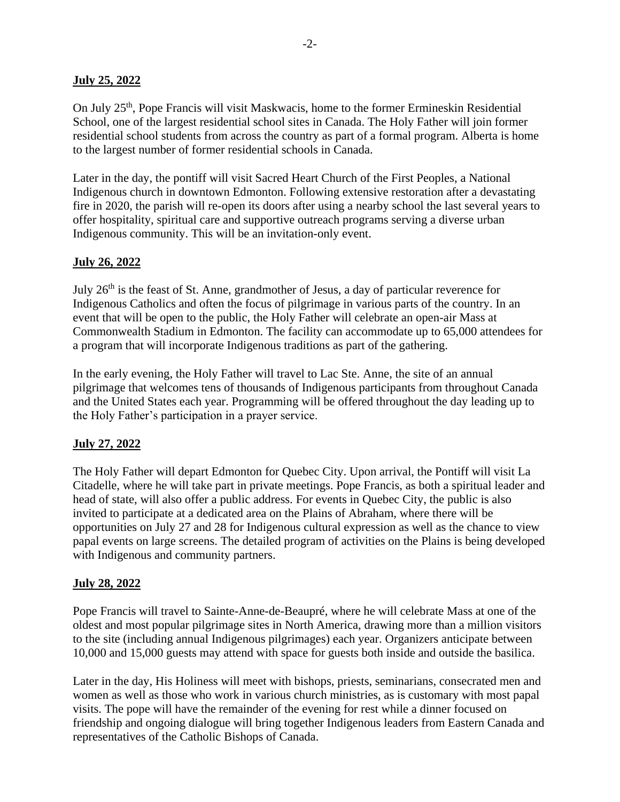## **July 25, 2022**

On July 25<sup>th</sup>, Pope Francis will visit Maskwacis, home to the former Ermineskin Residential School, one of the largest residential school sites in Canada. The Holy Father will join former residential school students from across the country as part of a formal program. Alberta is home to the largest number of former residential schools in Canada.

Later in the day, the pontiff will visit Sacred Heart Church of the First Peoples, a National Indigenous church in downtown Edmonton. Following extensive restoration after a devastating fire in 2020, the parish will re-open its doors after using a nearby school the last several years to offer hospitality, spiritual care and supportive outreach programs serving a diverse urban Indigenous community. This will be an invitation-only event.

## **July 26, 2022**

July  $26<sup>th</sup>$  is the feast of St. Anne, grandmother of Jesus, a day of particular reverence for Indigenous Catholics and often the focus of pilgrimage in various parts of the country. In an event that will be open to the public, the Holy Father will celebrate an open-air Mass at Commonwealth Stadium in Edmonton. The facility can accommodate up to 65,000 attendees for a program that will incorporate Indigenous traditions as part of the gathering.

In the early evening, the Holy Father will travel to Lac Ste. Anne, the site of an annual pilgrimage that welcomes tens of thousands of Indigenous participants from throughout Canada and the United States each year. Programming will be offered throughout the day leading up to the Holy Father's participation in a prayer service.

### **July 27, 2022**

The Holy Father will depart Edmonton for Quebec City. Upon arrival, the Pontiff will visit La Citadelle, where he will take part in private meetings. Pope Francis, as both a spiritual leader and head of state, will also offer a public address. For events in Quebec City, the public is also invited to participate at a dedicated area on the Plains of Abraham, where there will be opportunities on July 27 and 28 for Indigenous cultural expression as well as the chance to view papal events on large screens. The detailed program of activities on the Plains is being developed with Indigenous and community partners.

### **July 28, 2022**

Pope Francis will travel to Sainte-Anne-de-Beaupré, where he will celebrate Mass at one of the oldest and most popular pilgrimage sites in North America, drawing more than a million visitors to the site (including annual Indigenous pilgrimages) each year. Organizers anticipate between 10,000 and 15,000 guests may attend with space for guests both inside and outside the basilica.

Later in the day, His Holiness will meet with bishops, priests, seminarians, consecrated men and women as well as those who work in various church ministries, as is customary with most papal visits. The pope will have the remainder of the evening for rest while a dinner focused on friendship and ongoing dialogue will bring together Indigenous leaders from Eastern Canada and representatives of the Catholic Bishops of Canada.